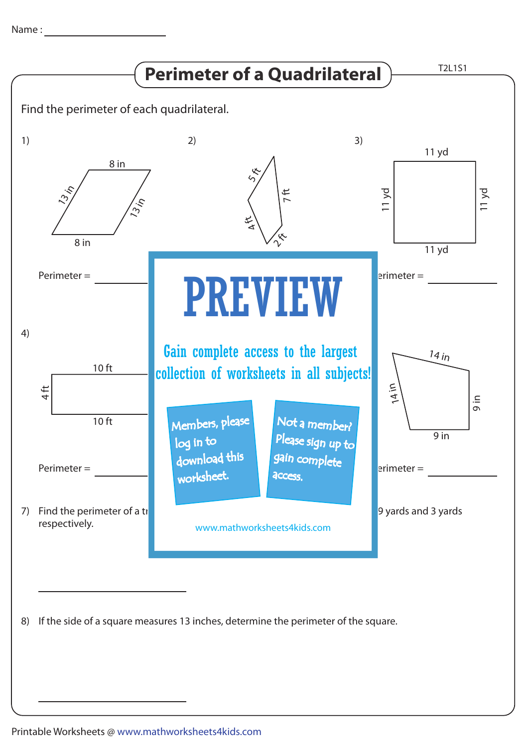